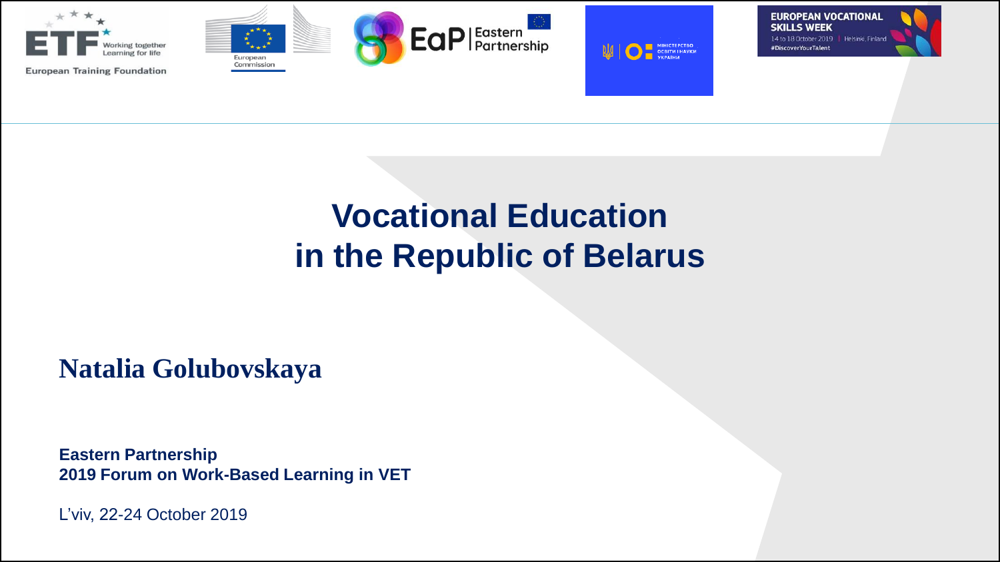

## **Vocational Education in the Republic of Belarus**

**Natalia Golubovskaya** 

**Eastern Partnership 2019 Forum on Work-Based Learning in VET**

L'viv, 22-24 October 2019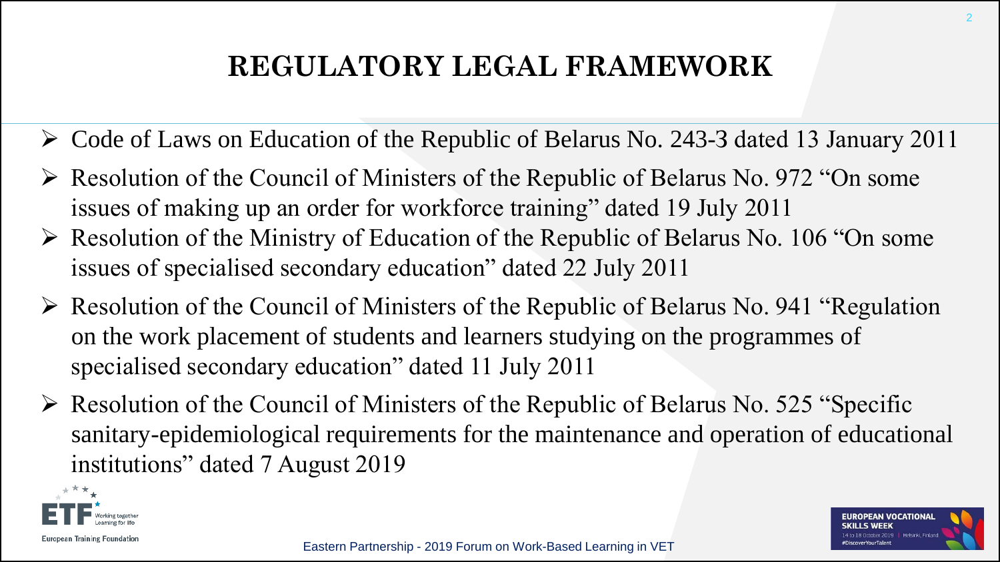## **REGULATORY LEGAL FRAMEWORK**

- Code of Laws on Education of the Republic of Belarus No. 243-З dated 13 January 2011
- $\triangleright$  Resolution of the Council of Ministers of the Republic of Belarus No. 972 "On some issues of making up an order for workforce training" dated 19 July 2011
- $\triangleright$  Resolution of the Ministry of Education of the Republic of Belarus No. 106 "On some issues of specialised secondary education" dated 22 July 2011
- $\triangleright$  Resolution of the Council of Ministers of the Republic of Belarus No. 941 "Regulation" on the work placement of students and learners studying on the programmes of specialised secondary education" dated 11 July 2011
- $\triangleright$  Resolution of the Council of Ministers of the Republic of Belarus No. 525 "Specific sanitary-epidemiological requirements for the maintenance and operation of educational institutions" dated 7 August 2019

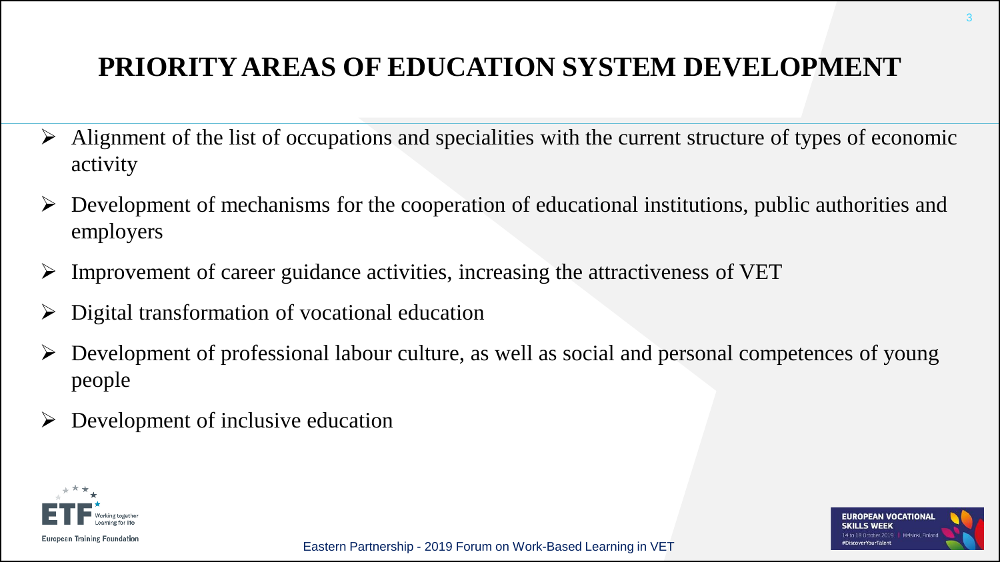## **PRIORITY AREAS OF EDUCATION SYSTEM DEVELOPMENT**

- $\triangleright$  Alignment of the list of occupations and specialities with the current structure of types of economic activity
- $\triangleright$  Development of mechanisms for the cooperation of educational institutions, public authorities and employers
- $\triangleright$  Improvement of career guidance activities, increasing the attractiveness of VET
- Digital transformation of vocational education
- Development of professional labour culture, as well as social and personal competences of young people
- Development of inclusive education